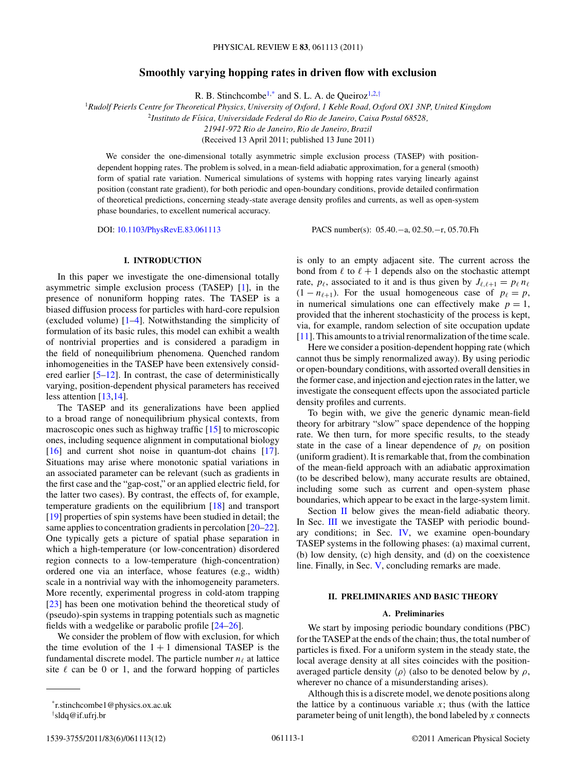# **Smoothly varying hopping rates in driven flow with exclusion**

R. B. Stinchcombe<sup>1,\*</sup> and S. L. A. de Queiroz<sup>1,2,†</sup>

<sup>1</sup>*Rudolf Peierls Centre for Theoretical Physics, University of Oxford, 1 Keble Road, Oxford OX1 3NP, United Kingdom*

<sup>2</sup>*Instituto de F´ısica, Universidade Federal do Rio de Janeiro, Caixa Postal 68528,*

*21941-972 Rio de Janeiro, Rio de Janeiro, Brazil*

(Received 13 April 2011; published 13 June 2011)

We consider the one-dimensional totally asymmetric simple exclusion process (TASEP) with positiondependent hopping rates. The problem is solved, in a mean-field adiabatic approximation, for a general (smooth) form of spatial rate variation. Numerical simulations of systems with hopping rates varying linearly against position (constant rate gradient), for both periodic and open-boundary conditions, provide detailed confirmation of theoretical predictions, concerning steady-state average density profiles and currents, as well as open-system phase boundaries, to excellent numerical accuracy.

DOI: [10.1103/PhysRevE.83.061113](http://dx.doi.org/10.1103/PhysRevE.83.061113) PACS number(s): 05*.*40*.*−a, 02*.*50*.*−r, 05*.*70*.*Fh

## **I. INTRODUCTION**

In this paper we investigate the one-dimensional totally asymmetric simple exclusion process (TASEP) [\[1\]](#page-11-0), in the presence of nonuniform hopping rates. The TASEP is a biased diffusion process for particles with hard-core repulsion (excluded volume) [\[1–4\]](#page-11-0). Notwithstanding the simplicity of formulation of its basic rules, this model can exhibit a wealth of nontrivial properties and is considered a paradigm in the field of nonequilibrium phenomena. Quenched random inhomogeneities in the TASEP have been extensively considered earlier  $[5-12]$ . In contrast, the case of deterministically varying, position-dependent physical parameters has received less attention [\[13,14\]](#page-11-0).

The TASEP and its generalizations have been applied to a broad range of nonequilibrium physical contexts, from macroscopic ones such as highway traffic [\[15\]](#page-11-0) to microscopic ones, including sequence alignment in computational biology [\[16\]](#page-11-0) and current shot noise in quantum-dot chains [\[17\]](#page-11-0). Situations may arise where monotonic spatial variations in an associated parameter can be relevant (such as gradients in the first case and the "gap-cost," or an applied electric field, for the latter two cases). By contrast, the effects of, for example, temperature gradients on the equilibrium [\[18\]](#page-11-0) and transport [\[19\]](#page-11-0) properties of spin systems have been studied in detail; the same applies to concentration gradients in percolation [\[20–22\]](#page-11-0). One typically gets a picture of spatial phase separation in which a high-temperature (or low-concentration) disordered region connects to a low-temperature (high-concentration) ordered one via an interface, whose features (e.g., width) scale in a nontrivial way with the inhomogeneity parameters. More recently, experimental progress in cold-atom trapping [\[23\]](#page-11-0) has been one motivation behind the theoretical study of (pseudo)-spin systems in trapping potentials such as magnetic fields with a wedgelike or parabolic profile [\[24–26\]](#page-11-0).

We consider the problem of flow with exclusion, for which the time evolution of the  $1 + 1$  dimensional TASEP is the fundamental discrete model. The particle number  $n_{\ell}$  at lattice site  $\ell$  can be 0 or 1, and the forward hopping of particles

† sldq@if.ufrj.br

is only to an empty adjacent site. The current across the bond from  $\ell$  to  $\ell + 1$  depends also on the stochastic attempt rate,  $p_{\ell}$ , associated to it and is thus given by  $J_{\ell,\ell+1} = p_{\ell} n_{\ell}$  $(1 - n_{\ell+1})$ . For the usual homogeneous case of  $p_{\ell} = p$ , in numerical simulations one can effectively make  $p = 1$ , provided that the inherent stochasticity of the process is kept, via, for example, random selection of site occupation update [\[11\]](#page-11-0). This amounts to a trivial renormalization of the time scale.

Here we consider a position-dependent hopping rate (which cannot thus be simply renormalized away). By using periodic or open-boundary conditions, with assorted overall densities in the former case, and injection and ejection rates in the latter, we investigate the consequent effects upon the associated particle density profiles and currents.

To begin with, we give the generic dynamic mean-field theory for arbitrary "slow" space dependence of the hopping rate. We then turn, for more specific results, to the steady state in the case of a linear dependence of  $p_\ell$  on position (uniform gradient). It is remarkable that, from the combination of the mean-field approach with an adiabatic approximation (to be described below), many accurate results are obtained, including some such as current and open-system phase boundaries, which appear to be exact in the large-system limit.

Section II below gives the mean-field adiabatic theory. In Sec. [III](#page-3-0) we investigate the TASEP with periodic boundary conditions; in Sec. [IV,](#page-8-0) we examine open-boundary TASEP systems in the following phases: (a) maximal current, (b) low density, (c) high density, and (d) on the coexistence line. Finally, in Sec. [V,](#page-10-0) concluding remarks are made.

### **II. PRELIMINARIES AND BASIC THEORY**

#### **A. Preliminaries**

We start by imposing periodic boundary conditions (PBC) for the TASEP at the ends of the chain; thus, the total number of particles is fixed. For a uniform system in the steady state, the local average density at all sites coincides with the positionaveraged particle density  $\langle \rho \rangle$  (also to be denoted below by  $\rho$ , wherever no chance of a misunderstanding arises).

Although this is a discrete model, we denote positions along the lattice by a continuous variable  $x$ ; thus (with the lattice parameter being of unit length), the bond labeled by *x* connects

<sup>\*</sup>r.stinchcombe1@physics.ox.ac.uk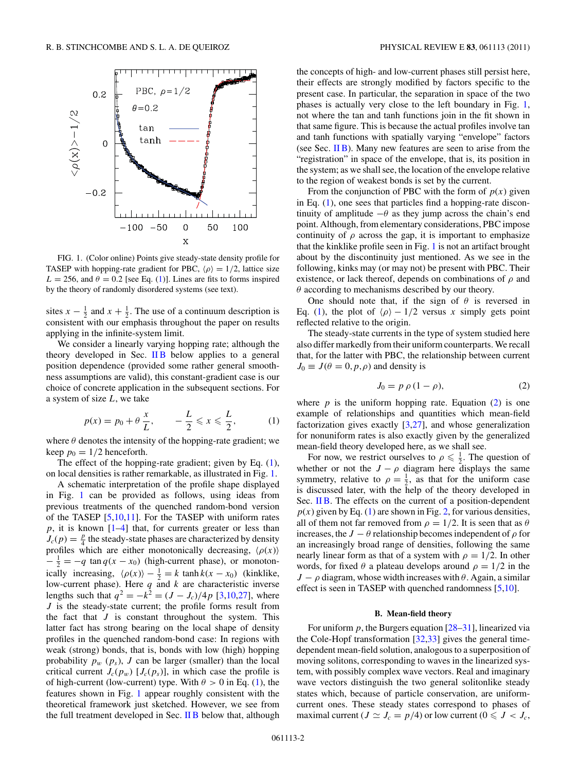<span id="page-1-0"></span>

FIG. 1. (Color online) Points give steady-state density profile for TASEP with hopping-rate gradient for PBC,  $\langle \rho \rangle = 1/2$ , lattice size  $L = 256$ , and  $\theta = 0.2$  [see Eq. (1)]. Lines are fits to forms inspired by the theory of randomly disordered systems (see text).

sites  $x - \frac{1}{2}$  and  $x + \frac{1}{2}$ . The use of a continuum description is consistent with our emphasis throughout the paper on results applying in the infinite-system limit.

We consider a linearly varying hopping rate; although the theory developed in Sec.  $\overline{I}$  IB below applies to a general position dependence (provided some rather general smoothness assumptions are valid), this constant-gradient case is our choice of concrete application in the subsequent sections. For a system of size *L*, we take

$$
p(x) = p_0 + \theta \frac{x}{L}, \qquad -\frac{L}{2} \leq x \leq \frac{L}{2}, \tag{1}
$$

where  $\theta$  denotes the intensity of the hopping-rate gradient; we keep  $p_0 = 1/2$  henceforth.

The effect of the hopping-rate gradient; given by Eq. (1), on local densities is rather remarkable, as illustrated in Fig. 1.

A schematic interpretation of the profile shape displayed in Fig. 1 can be provided as follows, using ideas from previous treatments of the quenched random-bond version of the TASEP [\[5,10,11\]](#page-11-0). For the TASEP with uniform rates *p*, it is known [\[1–4\]](#page-11-0) that, for currents greater or less than  $J_c(p) = \frac{p}{4}$  the steady-state phases are characterized by density profiles which are either monotonically decreasing,  $\langle \rho(x) \rangle$  $-\frac{1}{2} = -q \tan q(x - x_0)$  (high-current phase), or monotonically increasing,  $\langle \rho(x) \rangle - \frac{1}{2} = k \tanh k(x - x_0)$  (kinklike, low-current phase). Here *q* and *k* are characteristic inverse lengths such that  $q^2 = -k^2 = (J - J_c)/4p$  [\[3,10,27\]](#page-11-0), where *J* is the steady-state current; the profile forms result from the fact that  $J$  is constant throughout the system. This latter fact has strong bearing on the local shape of density profiles in the quenched random-bond case: In regions with weak (strong) bonds, that is, bonds with low (high) hopping probability  $p_w$  ( $p_s$ ),  $J$  can be larger (smaller) than the local critical current  $J_c(p_w)$  [ $J_c(p_s)$ ], in which case the profile is of high-current (low-current) type. With  $\theta > 0$  in Eq. (1), the features shown in Fig. 1 appear roughly consistent with the theoretical framework just sketched. However, we see from the full treatment developed in Sec.  $\overline{I}$  IB below that, although the concepts of high- and low-current phases still persist here, their effects are strongly modified by factors specific to the present case. In particular, the separation in space of the two phases is actually very close to the left boundary in Fig. 1, not where the tan and tanh functions join in the fit shown in that same figure. This is because the actual profiles involve tan and tanh functions with spatially varying "envelope" factors (see Sec. II B). Many new features are seen to arise from the "registration" in space of the envelope, that is, its position in the system; as we shall see, the location of the envelope relative to the region of weakest bonds is set by the current.

From the conjunction of PBC with the form of  $p(x)$  given in Eq. (1), one sees that particles find a hopping-rate discontinuity of amplitude  $-\theta$  as they jump across the chain's end point. Although, from elementary considerations, PBC impose continuity of  $\rho$  across the gap, it is important to emphasize that the kinklike profile seen in Fig. 1 is not an artifact brought about by the discontinuity just mentioned. As we see in the following, kinks may (or may not) be present with PBC. Their existence, or lack thereof, depends on combinations of *ρ* and *θ* according to mechanisms described by our theory.

One should note that, if the sign of  $\theta$  is reversed in Eq. (1), the plot of  $\langle \rho \rangle - 1/2$  versus *x* simply gets point reflected relative to the origin.

The steady-state currents in the type of system studied here also differ markedly from their uniform counterparts. We recall that, for the latter with PBC, the relationship between current  $J_0 \equiv J(\theta = 0, p, \rho)$  and density is

$$
J_0 = p \, \rho \, (1 - \rho), \tag{2}
$$

where  $p$  is the uniform hopping rate. Equation  $(2)$  is one example of relationships and quantities which mean-field factorization gives exactly  $[3,27]$ , and whose generalization for nonuniform rates is also exactly given by the generalized mean-field theory developed here, as we shall see.

For now, we restrict ourselves to  $\rho \leq \frac{1}{2}$ . The question of whether or not the  $J - \rho$  diagram here displays the same symmetry, relative to  $\rho = \frac{1}{2}$ , as that for the uniform case is discussed later, with the help of the theory developed in Sec. II B. The effects on the current of a position-dependent  $p(x)$  given by Eq. (1) are shown in Fig. [2,](#page-2-0) for various densities, all of them not far removed from  $\rho = 1/2$ . It is seen that as  $\theta$ increases, the *J* −  $\theta$  relationship becomes independent of  $\rho$  for an increasingly broad range of densities, following the same nearly linear form as that of a system with  $\rho = 1/2$ . In other words, for fixed  $\theta$  a plateau develops around  $\rho = 1/2$  in the  $J - \rho$  diagram, whose width increases with  $\theta$ . Again, a similar effect is seen in TASEP with quenched randomness [\[5,10\]](#page-11-0).

### **B. Mean-field theory**

For uniform  $p$ , the Burgers equation  $[28-31]$ , linearized via the Cole-Hopf transformation [\[32,33\]](#page-11-0) gives the general timedependent mean-field solution, analogous to a superposition of moving solitons, corresponding to waves in the linearized system, with possibly complex wave vectors. Real and imaginary wave vectors distinguish the two general solitonlike steady states which, because of particle conservation, are uniformcurrent ones. These steady states correspond to phases of maximal current ( $J \simeq J_c = p/4$ ) or low current ( $0 \leq J < J_c$ ,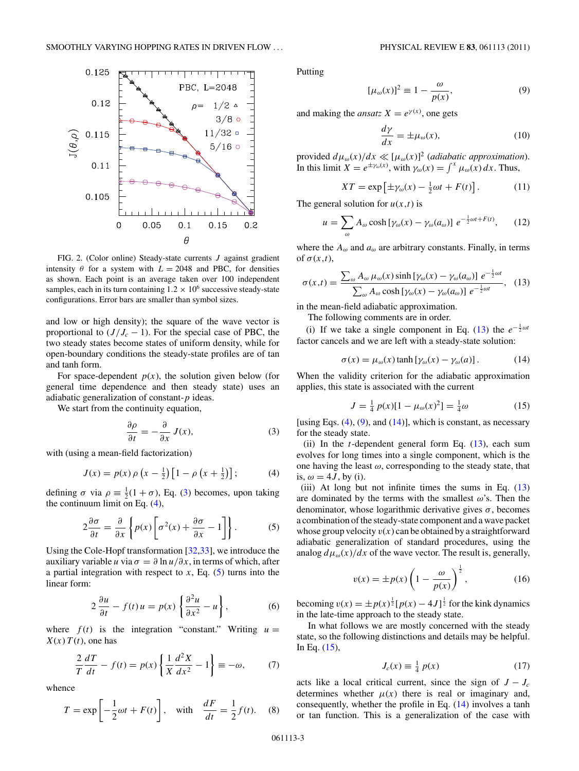<span id="page-2-0"></span>

FIG. 2. (Color online) Steady-state currents *J* against gradient intensity  $\theta$  for a system with  $L = 2048$  and PBC, for densities as shown. Each point is an average taken over 100 independent samples, each in its turn containing  $1.2 \times 10^6$  successive steady-state configurations. Error bars are smaller than symbol sizes.

and low or high density); the square of the wave vector is proportional to  $(J/J_c - 1)$ . For the special case of PBC, the two steady states become states of uniform density, while for open-boundary conditions the steady-state profiles are of tan and tanh form.

For space-dependent  $p(x)$ , the solution given below (for general time dependence and then steady state) uses an adiabatic generalization of constant-*p* ideas.

We start from the continuity equation,

$$
\frac{\partial \rho}{\partial t} = -\frac{\partial}{\partial x} J(x),\tag{3}
$$

with (using a mean-field factorization)

$$
J(x) = p(x) \rho \left( x - \frac{1}{2} \right) \left[ 1 - \rho \left( x + \frac{1}{2} \right) \right];
$$
 (4)

defining  $\sigma$  via  $\rho \equiv \frac{1}{2}(1 + \sigma)$ , Eq. (3) becomes, upon taking the continuum limit on Eq. (4),

$$
2\frac{\partial \sigma}{\partial t} = \frac{\partial}{\partial x} \left\{ p(x) \left[ \sigma^2(x) + \frac{\partial \sigma}{\partial x} - 1 \right] \right\}.
$$
 (5)

Using the Cole-Hopf transformation [\[32,33\]](#page-11-0), we introduce the auxiliary variable *u* via  $\sigma = \partial \ln u / \partial x$ , in terms of which, after a partial integration with respect to  $x$ , Eq.  $(5)$  turns into the linear form:

$$
2\frac{\partial u}{\partial t} - f(t)u = p(x) \left\{ \frac{\partial^2 u}{\partial x^2} - u \right\},
$$
 (6)

where  $f(t)$  is the integration "constant." Writing  $u =$  $X(x)$  *T*(*t*), one has

$$
\frac{2}{T}\frac{dT}{dt} - f(t) = p(x)\left\{\frac{1}{X}\frac{d^2X}{dx^2} - 1\right\} \equiv -\omega,\tag{7}
$$

whence

$$
T = \exp\left[-\frac{1}{2}\omega t + F(t)\right], \quad \text{with} \quad \frac{dF}{dt} = \frac{1}{2}f(t). \tag{8}
$$

Putting

$$
[\mu_{\omega}(x)]^2 \equiv 1 - \frac{\omega}{p(x)},\tag{9}
$$

and making the *ansatz*  $X = e^{\gamma(x)}$ , one gets

$$
\frac{d\gamma}{dx} = \pm \mu_{\omega}(x),\tag{10}
$$

provided  $d\mu_{\omega}(x)/dx \ll [\mu_{\omega}(x)]^2$  (*adiabatic approximation*). In this limit  $\overline{X} = e^{\pm \gamma_{\omega}(x)}$ , with  $\gamma_{\omega}(x) = \int^{x} \mu_{\omega}(x) dx$ . Thus,

$$
XT = \exp\left[\pm \gamma_{\omega}(x) - \frac{1}{2}\omega t + F(t)\right].\tag{11}
$$

The general solution for  $u(x,t)$  is

$$
u = \sum_{\omega} A_{\omega} \cosh \left[ \gamma_{\omega}(x) - \gamma_{\omega}(a_{\omega}) \right] e^{-\frac{1}{2}\omega t + F(t)}, \qquad (12)
$$

where the  $A_{\omega}$  and  $a_{\omega}$  are arbitrary constants. Finally, in terms of  $\sigma(x,t)$ ,

$$
\sigma(x,t) = \frac{\sum_{\omega} A_{\omega} \mu_{\omega}(x) \sinh\left[\gamma_{\omega}(x) - \gamma_{\omega}(a_{\omega})\right] e^{-\frac{1}{2}\omega t}}{\sum_{\omega} A_{\omega} \cosh\left[\gamma_{\omega}(x) - \gamma_{\omega}(a_{\omega})\right] e^{-\frac{1}{2}\omega t}}, \quad (13)
$$

in the mean-field adiabatic approximation.

The following comments are in order.

(i) If we take a single component in Eq. (13) the  $e^{-\frac{1}{2}\omega t}$ factor cancels and we are left with a steady-state solution:

$$
\sigma(x) = \mu_{\omega}(x) \tanh\left[\gamma_{\omega}(x) - \gamma_{\omega}(a)\right].\tag{14}
$$

When the validity criterion for the adiabatic approximation applies, this state is associated with the current

$$
J = \frac{1}{4} p(x)[1 - \mu_{\omega}(x)^{2}] = \frac{1}{4}\omega
$$
 (15)

[using Eqs.  $(4)$ ,  $(9)$ , and  $(14)$ ], which is constant, as necessary for the steady state.

(ii) In the *t*-dependent general form Eq. (13), each sum evolves for long times into a single component, which is the one having the least  $\omega$ , corresponding to the steady state, that is,  $\omega = 4J$ , by (i).

(iii) At long but not infinite times the sums in Eq. (13) are dominated by the terms with the smallest *ω*'s. Then the denominator, whose logarithmic derivative gives  $\sigma$ , becomes a combination of the steady-state component and a wave packet whose group velocity  $v(x)$  can be obtained by a straightforward adiabatic generalization of standard procedures, using the analog  $d\mu_{\omega}(x)/dx$  of the wave vector. The result is, generally,

$$
v(x) = \pm p(x) \left( 1 - \frac{\omega}{p(x)} \right)^{\frac{1}{2}},\tag{16}
$$

becoming  $v(x) = \pm p(x)^{\frac{1}{2}} [p(x) - 4J]^{\frac{1}{2}}$  for the kink dynamics in the late-time approach to the steady state.

In what follows we are mostly concerned with the steady state, so the following distinctions and details may be helpful. In Eq. (15),

$$
J_c(x) \equiv \frac{1}{4} p(x) \tag{17}
$$

acts like a local critical current, since the sign of  $J - J_c$ determines whether  $\mu(x)$  there is real or imaginary and, consequently, whether the profile in Eq. (14) involves a tanh or tan function. This is a generalization of the case with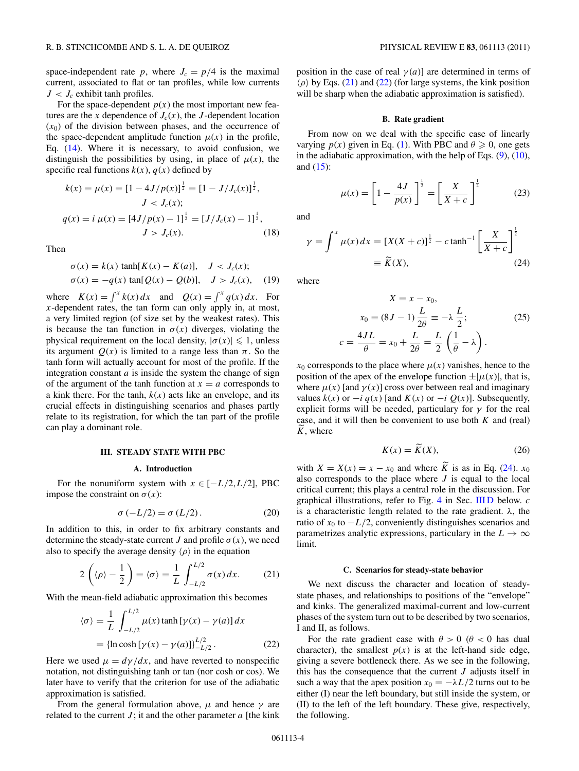<span id="page-3-0"></span>space-independent rate p, where  $J_c = p/4$  is the maximal current, associated to flat or tan profiles, while low currents  $J < J_c$  exhibit tanh profiles.

For the space-dependent  $p(x)$  the most important new features are the *x* dependence of  $J_c(x)$ , the *J*-dependent location  $(x<sub>0</sub>)$  of the division between phases, and the occurrence of the space-dependent amplitude function  $\mu(x)$  in the profile, Eq. [\(14\)](#page-2-0). Where it is necessary, to avoid confusion, we distinguish the possibilities by using, in place of  $\mu(x)$ , the specific real functions  $k(x)$ ,  $q(x)$  defined by

$$
k(x) = \mu(x) = [1 - 4J/p(x)]^{\frac{1}{2}} = [1 - J/J_c(x)]^{\frac{1}{2}},
$$
  
\n
$$
J < J_c(x);
$$
  
\n
$$
q(x) = i \mu(x) = [4J/p(x) - 1]^{\frac{1}{2}} = [J/J_c(x) - 1]^{\frac{1}{2}},
$$
  
\n
$$
J > J_c(x).
$$
\n(18)

Then

$$
\sigma(x) = k(x) \tanh[K(x) - K(a)], \quad J < J_c(x);
$$
\n
$$
\sigma(x) = -q(x) \tan[Q(x) - Q(b)], \quad J > J_c(x), \quad (19)
$$

where  $K(x) = \int^x k(x) dx$  and  $Q(x) = \int^x q(x) dx$ . For *x*-dependent rates, the tan form can only apply in, at most, a very limited region (of size set by the weakest rates). This is because the tan function in  $\sigma(x)$  diverges, violating the physical requirement on the local density,  $|\sigma(x)| \leq 1$ , unless its argument  $Q(x)$  is limited to a range less than  $\pi$ . So the tanh form will actually account for most of the profile. If the integration constant  $a$  is inside the system the change of sign of the argument of the tanh function at  $x = a$  corresponds to a kink there. For the tanh,  $k(x)$  acts like an envelope, and its crucial effects in distinguishing scenarios and phases partly relate to its registration, for which the tan part of the profile can play a dominant role.

### **III. STEADY STATE WITH PBC**

#### **A. Introduction**

For the nonuniform system with  $x \in [-L/2, L/2]$ , PBC impose the constraint on  $\sigma(x)$ :

$$
\sigma(-L/2) = \sigma(L/2). \tag{20}
$$

In addition to this, in order to fix arbitrary constants and determine the steady-state current *J* and profile  $\sigma(x)$ , we need also to specify the average density  $\langle \rho \rangle$  in the equation

$$
2\left(\langle \rho \rangle - \frac{1}{2}\right) = \langle \sigma \rangle = \frac{1}{L} \int_{-L/2}^{L/2} \sigma(x) \, dx. \tag{21}
$$

With the mean-field adiabatic approximation this becomes

$$
\langle \sigma \rangle = \frac{1}{L} \int_{-L/2}^{L/2} \mu(x) \tanh \left[ \gamma(x) - \gamma(a) \right] dx
$$
  
= {ln cosh [ \gamma(x) - \gamma(a) ]}\_{-L/2}^{L/2}. (22)

Here we used  $\mu = d\gamma/dx$ , and have reverted to nonspecific notation, not distinguishing tanh or tan (nor cosh or cos). We later have to verify that the criterion for use of the adiabatic approximation is satisfied.

From the general formulation above,  $\mu$  and hence  $\gamma$  are related to the current  $J$ ; it and the other parameter  $a$  [the kink] position in the case of real  $\gamma(a)$ ] are determined in terms of  $\langle \rho \rangle$  by Eqs. (21) and (22) (for large systems, the kink position will be sharp when the adiabatic approximation is satisfied).

### **B. Rate gradient**

From now on we deal with the specific case of linearly varying  $p(x)$  given in Eq. [\(1\)](#page-1-0). With PBC and  $\theta \ge 0$ , one gets in the adiabatic approximation, with the help of Eqs.  $(9)$ ,  $(10)$ , and [\(15\)](#page-2-0):

$$
\mu(x) = \left[1 - \frac{4J}{p(x)}\right]^{\frac{1}{2}} = \left[\frac{X}{X+c}\right]^{\frac{1}{2}}\tag{23}
$$

and

$$
\gamma = \int^x \mu(x) dx = [X(X + c)]^{\frac{1}{2}} - c \tanh^{-1} \left[ \frac{X}{X + c} \right]^{\frac{1}{2}}
$$
  
=  $\widetilde{K}(X)$ , (24)

where

$$
X = x - x_0,
$$
  
\n
$$
x_0 = (8J - 1)\frac{L}{2\theta} \equiv -\lambda \frac{L}{2};
$$
  
\n
$$
c = \frac{4JL}{\theta} = x_0 + \frac{L}{2\theta} = \frac{L}{2} \left(\frac{1}{\theta} - \lambda\right).
$$
\n(25)

 $x_0$  corresponds to the place where  $\mu(x)$  vanishes, hence to the position of the apex of the envelope function  $\pm |\mu(x)|$ , that is, where  $\mu(x)$  [and  $\gamma(x)$ ] cross over between real and imaginary values  $k(x)$  or  $-i q(x)$  [and  $K(x)$  or  $-i Q(x)$ ]. Subsequently, explicit forms will be needed, particulary for  $\gamma$  for the real case, and it will then be convenient to use both *K* and (real) *K*, where

$$
K(x) = \widetilde{K}(X),\tag{26}
$$

with  $X = X(x) = x - x_0$  and where  $\widetilde{K}$  is as in Eq. (24).  $x_0$ also corresponds to the place where *J* is equal to the local critical current; this plays a central role in the discussion. For graphical illustrations, refer to Fig. [4](#page-5-0) in Sec. [III D](#page-6-0) below. *c* is a characteristic length related to the rate gradient. *λ*, the ratio of  $x_0$  to  $-L/2$ , conveniently distinguishes scenarios and parametrizes analytic expressions, particulary in the  $L \rightarrow \infty$ limit.

#### **C. Scenarios for steady-state behavior**

We next discuss the character and location of steadystate phases, and relationships to positions of the "envelope" and kinks. The generalized maximal-current and low-current phases of the system turn out to be described by two scenarios, I and II, as follows.

For the rate gradient case with  $\theta > 0$  ( $\theta < 0$  has dual character), the smallest  $p(x)$  is at the left-hand side edge, giving a severe bottleneck there. As we see in the following, this has the consequence that the current *J* adjusts itself in such a way that the apex position  $x_0 = -\lambda L/2$  turns out to be either (I) near the left boundary, but still inside the system, or (II) to the left of the left boundary. These give, respectively, the following.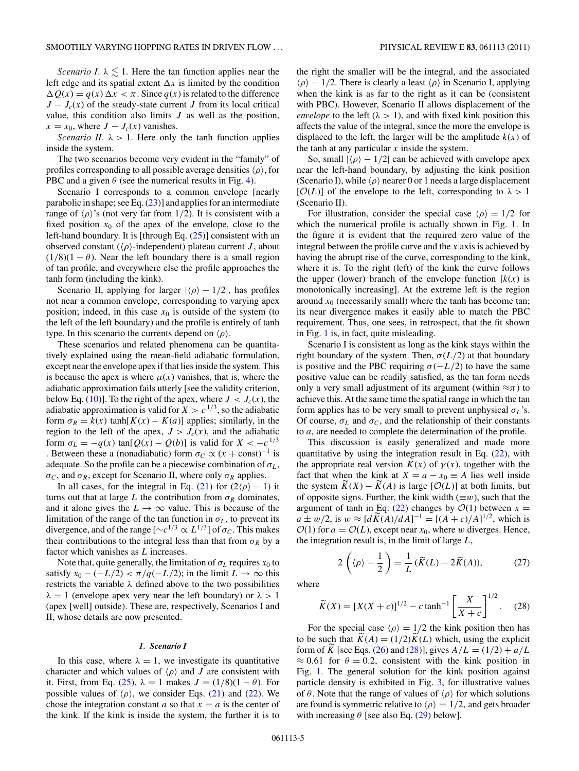<span id="page-4-0"></span>*Scenario I*.  $\lambda \leq 1$ . Here the tan function applies near the left edge and its spatial extent  $\Delta x$  is limited by the condition  $\Delta Q(x) = q(x) \Delta x < \pi$ . Since  $q(x)$  is related to the difference  $J - J_c(x)$  of the steady-state current *J* from its local critical value, this condition also limits *J* as well as the position,  $x = x_0$ , where  $J - J_c(x)$  vanishes.

*Scenario II*.  $\lambda > 1$ . Here only the tanh function applies inside the system.

The two scenarios become very evident in the "family" of profiles corresponding to all possible average densities-*ρ*, for PBC and a given  $\theta$  (see the numerical results in Fig. [4\)](#page-5-0).

Scenario I corresponds to a common envelope [nearly parabolic in shape; see Eq.  $(23)$ ] and applies for an intermediate range of  $\langle \rho \rangle$ 's (not very far from 1/2). It is consistent with a fixed position  $x_0$  of the apex of the envelope, close to the left-hand boundary. It is [through Eq. [\(25\)](#page-3-0)] consistent with an observed constant ( $\langle \rho \rangle$ -independent) plateau current *J*, about  $(1/8)(1 - \theta)$ . Near the left boundary there is a small region of tan profile, and everywhere else the profile approaches the tanh form (including the kink).

Scenario II, applying for larger  $|\langle \rho \rangle - 1/2|$ , has profiles not near a common envelope, corresponding to varying apex position; indeed, in this case  $x_0$  is outside of the system (to the left of the left boundary) and the profile is entirely of tanh type. In this scenario the currents depend on  $\langle \rho \rangle$ .

These scenarios and related phenomena can be quantitatively explained using the mean-field adiabatic formulation, except near the envelope apex if that lies inside the system. This is because the apex is where  $\mu(x)$  vanishes, that is, where the adiabatic approximation fails utterly [see the validity criterion, below Eq. [\(10\)](#page-2-0)]. To the right of the apex, where  $J < J_c(x)$ , the adiabatic approximation is valid for  $X > c^{1/3}$ , so the adiabatic form  $\sigma_R = k(x) \tanh[K(x) - K(a)]$  applies; similarly, in the region to the left of the apex,  $J > J_c(x)$ , and the adiabatic form  $\sigma_L = -q(x) \tan[Q(x) - Q(b)]$  is valid for  $X < -c^{1/3}$ . Between these a (nonadiabatic) form  $\sigma_C \propto (x + const)^{-1}$  is adequate. So the profile can be a piecewise combination of  $\sigma_L$ ,  $\sigma_C$ , and  $\sigma_R$ , except for Scenario II, where only  $\sigma_R$  applies.

In all cases, for the integral in Eq. [\(21\)](#page-3-0) for  $(2\langle \rho \rangle - 1)$  it turns out that at large *L* the contribution from  $\sigma_R$  dominates, and it alone gives the  $L \to \infty$  value. This is because of the limitation of the range of the tan function in  $\sigma$ <sub>L</sub>, to prevent its divergence, and of the range  $[\sim c^{1/3} \propto L^{1/3}]$  of  $\sigma_C$ . This makes their contributions to the integral less than that from  $\sigma_R$  by a factor which vanishes as *L* increases.

Note that, quite generally, the limitation of  $\sigma_L$  requires  $x_0$  to satisfy  $x_0 - (-L/2) < \pi/q(-L/2)$ ; in the limit  $L \to \infty$  this restricts the variable *λ* defined above to the two possibilities  $\lambda = 1$  (envelope apex very near the left boundary) or  $\lambda > 1$ (apex [well] outside). These are, respectively, Scenarios I and II, whose details are now presented.

### *1. Scenario I*

In this case, where  $\lambda = 1$ , we investigate its quantitative character and which values of  $\langle \rho \rangle$  and *J* are consistent with it. First, from Eq. [\(25\)](#page-3-0),  $\lambda = 1$  makes  $J = (1/8)(1 - \theta)$ . For possible values of  $\langle \rho \rangle$ , we consider Eqs. [\(21\)](#page-3-0) and [\(22\)](#page-3-0). We chose the integration constant *a* so that  $x = a$  is the center of the kink. If the kink is inside the system, the further it is to

the right the smaller will be the integral, and the associated  $\langle \rho \rangle - 1/2$ . There is clearly a least  $\langle \rho \rangle$  in Scenario I, applying when the kink is as far to the right as it can be (consistent with PBC). However, Scenario II allows displacement of the *envelope* to the left ( $\lambda > 1$ ), and with fixed kink position this affects the value of the integral, since the more the envelope is displaced to the left, the larger will be the amplitude  $k(x)$  of the tanh at any particular *x* inside the system.

So, small  $|\langle \rho \rangle - 1/2|$  can be achieved with envelope apex near the left-hand boundary, by adjusting the kink position (Scenario I), while  $\langle \rho \rangle$  nearer 0 or 1 needs a large displacement  $[O(L)]$  of the envelope to the left, corresponding to  $\lambda > 1$ (Scenario II).

For illustration, consider the special case  $\langle \rho \rangle = 1/2$  for which the numerical profile is actually shown in Fig. [1.](#page-1-0) In the figure it is evident that the required zero value of the integral between the profile curve and the *x* axis is achieved by having the abrupt rise of the curve, corresponding to the kink, where it is. To the right (left) of the kink the curve follows the upper (lower) branch of the envelope function  $[k(x)]$  is monotonically increasing]. At the extreme left is the region around  $x_0$  (necessarily small) where the tanh has become tan; its near divergence makes it easily able to match the PBC requirement. Thus, one sees, in retrospect, that the fit shown in Fig. [1](#page-1-0) is, in fact, quite misleading.

Scenario I is consistent as long as the kink stays within the right boundary of the system. Then,  $\sigma(L/2)$  at that boundary is positive and the PBC requiring  $\sigma(-L/2)$  to have the same positive value can be readily satisfied, as the tan form needs only a very small adjustment of its argument (within  $\approx \pi$ ) to achieve this. At the same time the spatial range in which the tan form applies has to be very small to prevent unphysical  $\sigma_L$ 's. Of course,  $\sigma_L$  and  $\sigma_C$ , and the relationship of their constants to *a*, are needed to complete the determination of the profile.

This discussion is easily generalized and made more quantitative by using the integration result in Eq.  $(22)$ , with the appropriate real version  $K(x)$  of  $\gamma(x)$ , together with the fact that when the kink at  $X = a - x_0 \equiv A$  lies well inside the system  $\overline{K}(X) - \overline{K}(A)$  is large  $[O(L)]$  at both limits, but of opposite signs. Further, the kink width  $(\equiv w)$ , such that the argument of tanh in Eq. [\(22\)](#page-3-0) changes by  $\mathcal{O}(1)$  between  $x =$  $a \pm w/2$ , is  $w \approx [d\widetilde{K}(A)/dA]^{-1} = [(A+c)/A]^{1/2}$ , which is  $\mathcal{O}(1)$  for  $a = \mathcal{O}(L)$ , except near  $x_0$ , where *w* diverges. Hence, the integration result is, in the limit of large *L*,

$$
2\left(\langle \rho \rangle - \frac{1}{2}\right) = \frac{1}{L}\left(\widetilde{K}(L) - 2\widetilde{K}(A)\right),\tag{27}
$$

where

$$
\widetilde{K}(X) = [X(X+c)]^{1/2} - c \tanh^{-1} \left[ \frac{X}{X+c} \right]^{1/2}.
$$
 (28)

For the special case  $\langle \rho \rangle = 1/2$  the kink position then has to be such that  $K(A) = (1/2)K(L)$  which, using the explicit form of *K* [see Eqs. [\(26\)](#page-3-0) and (28)], gives  $A/L = (1/2) + a/L$  $\approx 0.61$  for  $\theta = 0.2$ , consistent with the kink position in Fig. [1.](#page-1-0) The general solution for the kink position against particle density is exhibited in Fig. [3,](#page-5-0) for illustrative values of  $\theta$ . Note that the range of values of  $\langle \rho \rangle$  for which solutions are found is symmetric relative to  $\langle \rho \rangle = 1/2$ , and gets broader with increasing  $\theta$  [see also Eq. [\(29\)](#page-5-0) below].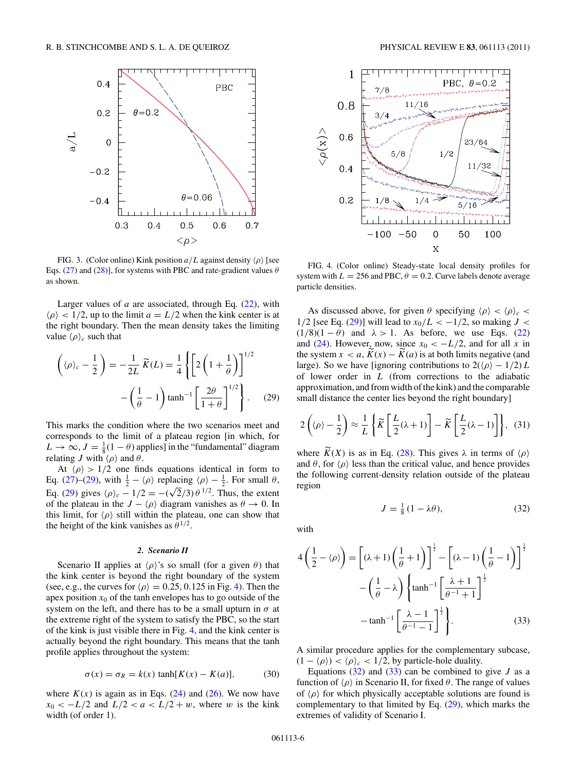<span id="page-5-0"></span>

FIG. 3. (Color online) Kink position  $a/L$  against density  $\langle \rho \rangle$  [see Eqs. [\(27\)](#page-4-0) and [\(28\)](#page-4-0)], for systems with PBC and rate-gradient values *θ* as shown.

Larger values of  $a$  are associated, through Eq.  $(22)$ , with  $\langle \rho \rangle$  < 1/2, up to the limit  $a = L/2$  when the kink center is at the right boundary. Then the mean density takes the limiting value  $\langle \rho \rangle_c$  such that

$$
\left(\langle \rho \rangle_c - \frac{1}{2}\right) = -\frac{1}{2L} \widetilde{K}(L) = \frac{1}{4} \left\{ \left[ 2\left(1 + \frac{1}{\theta}\right) \right]^{1/2} - \left(\frac{1}{\theta} - 1\right) \tanh^{-1} \left[ \frac{2\theta}{1 + \theta} \right]^{1/2} \right\}.
$$
 (29)

This marks the condition where the two scenarios meet and corresponds to the limit of a plateau region [in which, for  $L \to \infty$ ,  $J = \frac{1}{8}(1 - \theta)$  applies] in the "fundamental" diagram relating *J* with  $\langle \rho \rangle$  and  $\theta$ .

At  $\langle \rho \rangle > 1/2$  one finds equations identical in form to Eq. [\(27\)](#page-4-0)–(29), with  $\frac{1}{2} - \langle \rho \rangle$  replacing  $\langle \rho \rangle - \frac{1}{2}$ . For small  $\theta$ , Eq. (2*i*)-(2*i*), with  $\frac{1}{2} - \langle p \rangle$  replacing  $\langle p \rangle - \frac{1}{2}$ . For small *v*,<br>Eq. (29) gives  $\langle p \rangle_c - 1/2 = -(\sqrt{2}/3) \theta^{1/2}$ . Thus, the extent of the plateau in the  $J - \langle \rho \rangle$  diagram vanishes as  $\theta \to 0$ . In this limit, for  $\langle \rho \rangle$  still within the plateau, one can show that the height of the kink vanishes as  $\theta^{1/2}$ .

### *2. Scenario II*

Scenario II applies at  $\langle \rho \rangle$ 's so small (for a given  $\theta$ ) that the kink center is beyond the right boundary of the system (see, e.g., the curves for  $\langle \rho \rangle = 0.25, 0.125$  in Fig. 4). Then the apex position  $x_0$  of the tanh envelopes has to go outside of the system on the left, and there has to be a small upturn in  $\sigma$  at the extreme right of the system to satisfy the PBC, so the start of the kink is just visible there in Fig. 4, and the kink center is actually beyond the right boundary. This means that the tanh profile applies throughout the system:

$$
\sigma(x) = \sigma_R = k(x) \tanh[K(x) - K(a)], \tag{30}
$$

where  $K(x)$  is again as in Eqs. [\(24\)](#page-3-0) and [\(26\)](#page-3-0). We now have  $x_0 < -L/2$  and  $L/2 < a < L/2 + w$ , where *w* is the kink width (of order 1).



FIG. 4. (Color online) Steady-state local density profiles for system with  $L = 256$  and PBC,  $\theta = 0.2$ . Curve labels denote average particle densities.

As discussed above, for given  $\theta$  specifying  $\langle \rho \rangle < \langle \rho \rangle_c$ 1/2 [see Eq. (29)] will lead to  $x_0/L < -1/2$ , so making  $J <$  $(1/8)(1 - \theta)$  and  $\lambda > 1$ . As before, we use Eqs. [\(22\)](#page-3-0) and [\(24\)](#page-3-0). However, now, since  $x_0 < -L/2$ , and for all x in the system  $x < a$ ,  $\overline{K}(x) - \overline{K}(a)$  is at both limits negative (and large). So we have [ignoring contributions to  $2(\langle \rho \rangle - 1/2) L$ of lower order in *L* (from corrections to the adiabatic approximation, and from width of the kink) and the comparable small distance the center lies beyond the right boundary]

$$
2\left(\langle \rho \rangle - \frac{1}{2}\right) \approx \frac{1}{L} \left\{ \widetilde{K} \left[ \frac{L}{2} (\lambda + 1) \right] - \widetilde{K} \left[ \frac{L}{2} (\lambda - 1) \right] \right\}, (31)
$$

where  $K(X)$  is as in Eq. [\(28\)](#page-4-0). This gives  $\lambda$  in terms of  $\langle \rho \rangle$ and  $\theta$ , for  $\langle \rho \rangle$  less than the critical value, and hence provides the following current-density relation outside of the plateau region

$$
J = \frac{1}{8} \left( 1 - \lambda \theta \right),\tag{32}
$$

with

$$
4\left(\frac{1}{2} - \langle \rho \rangle\right) = \left[ (\lambda + 1)\left(\frac{1}{\theta} + 1\right) \right]^{\frac{1}{2}} - \left[ (\lambda - 1)\left(\frac{1}{\theta} - 1\right) \right]^{\frac{1}{2}}
$$

$$
-\left(\frac{1}{\theta} - \lambda\right) \left\{ \tanh^{-1} \left[ \frac{\lambda + 1}{\theta^{-1} + 1} \right]^{\frac{1}{2}}
$$

$$
-\tanh^{-1} \left[ \frac{\lambda - 1}{\theta^{-1} - 1} \right]^{\frac{1}{2}} \right\}.
$$
(33)

A similar procedure applies for the complementary subcase,  $(1 - \langle \rho \rangle) < \langle \rho \rangle_c < 1/2$ , by particle-hole duality.

Equations  $(32)$  and  $(33)$  can be combined to give *J* as a function of  $\langle \rho \rangle$  in Scenario II, for fixed  $\theta$ . The range of values of  $\langle \rho \rangle$  for which physically acceptable solutions are found is complementary to that limited by Eq. (29), which marks the extremes of validity of Scenario I.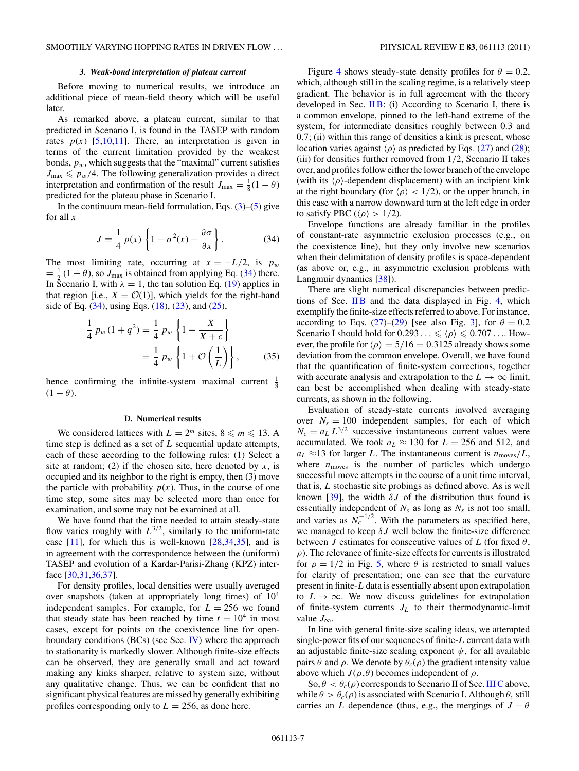### *3. Weak-bond interpretation of plateau current*

<span id="page-6-0"></span>Before moving to numerical results, we introduce an additional piece of mean-field theory which will be useful later.

As remarked above, a plateau current, similar to that predicted in Scenario I, is found in the TASEP with random rates  $p(x)$  [\[5,10,11\]](#page-11-0). There, an interpretation is given in terms of the current limitation provided by the weakest bonds,  $p_w$ , which suggests that the "maximal" current satisfies  $J_{\text{max}} \leq p_w/4$ . The following generalization provides a direct interpretation and confirmation of the result  $J_{\text{max}} = \frac{1}{8}(1 - \theta)$ predicted for the plateau phase in Scenario I.

In the continuum mean-field formulation, Eqs.  $(3)$ – $(5)$  give for all *x*

$$
J = \frac{1}{4} p(x) \left\{ 1 - \sigma^2(x) - \frac{\partial \sigma}{\partial x} \right\}.
$$
 (34)

The most limiting rate, occurring at  $x = -L/2$ , is  $p_w$  $=\frac{1}{2}(1-\theta)$ , so  $J_{\text{max}}$  is obtained from applying Eq. (34) there. In Scenario I, with  $\lambda = 1$ , the tan solution Eq. [\(19\)](#page-3-0) applies in that region [i.e.,  $X = \mathcal{O}(1)$ ], which yields for the right-hand side of Eq.  $(34)$ , using Eqs.  $(18)$ ,  $(23)$ , and  $(25)$ ,

$$
\frac{1}{4} p_w (1 + q^2) = \frac{1}{4} p_w \left\{ 1 - \frac{X}{X + c} \right\}
$$

$$
= \frac{1}{4} p_w \left\{ 1 + \mathcal{O} \left( \frac{1}{L} \right) \right\}, \quad (35)
$$

hence confirming the infinite-system maximal current  $\frac{1}{8}$  $(1 - \theta)$ .

### **D. Numerical results**

We considered lattices with  $L = 2^m$  sites,  $8 \le m \le 13$ . A time step is defined as a set of *L* sequential update attempts, each of these according to the following rules: (1) Select a site at random; (2) if the chosen site, here denoted by  $x$ , is occupied and its neighbor to the right is empty, then (3) move the particle with probability  $p(x)$ . Thus, in the course of one time step, some sites may be selected more than once for examination, and some may not be examined at all.

We have found that the time needed to attain steady-state flow varies roughly with  $L^{3/2}$ , similarly to the uniform-rate case  $[11]$ , for which this is well-known  $[28,34,35]$ , and is in agreement with the correspondence between the (uniform) TASEP and evolution of a Kardar-Parisi-Zhang (KPZ) interface [\[30,31,36,37\]](#page-11-0).

For density profiles, local densities were usually averaged over snapshots (taken at appropriately long times) of 104 independent samples. For example, for  $L = 256$  we found that steady state has been reached by time  $t = 10^4$  in most cases, except for points on the coexistence line for openboundary conditions  $(BCs)$  (see Sec. [IV\)](#page-8-0) where the approach to stationarity is markedly slower. Although finite-size effects can be observed, they are generally small and act toward making any kinks sharper, relative to system size, without any qualitative change. Thus, we can be confident that no significant physical features are missed by generally exhibiting profiles corresponding only to  $L = 256$ , as done here.

Figure [4](#page-5-0) shows steady-state density profiles for  $\theta = 0.2$ , which, although still in the scaling regime, is a relatively steep gradient. The behavior is in full agreement with the theory developed in Sec.  $\Pi B$ : (i) According to Scenario I, there is a common envelope, pinned to the left-hand extreme of the system, for intermediate densities roughly between 0*.*3 and 0*.*7; (ii) within this range of densities a kink is present, whose location varies against  $\langle \rho \rangle$  as predicted by Eqs. [\(27\)](#page-4-0) and [\(28\)](#page-4-0); (iii) for densities further removed from 1*/*2, Scenario II takes over, and profiles follow either the lower branch of the envelope (with its  $\langle \rho \rangle$ -dependent displacement) with an incipient kink at the right boundary (for  $\langle \rho \rangle$  < 1/2), or the upper branch, in this case with a narrow downward turn at the left edge in order to satisfy PBC ( $\langle \rho \rangle > 1/2$ ).

Envelope functions are already familiar in the profiles of constant-rate asymmetric exclusion processes (e.g., on the coexistence line), but they only involve new scenarios when their delimitation of density profiles is space-dependent (as above or, e.g., in asymmetric exclusion problems with Langmuir dynamics [\[38\]](#page-11-0)).

There are slight numerical discrepancies between predic-tions of Sec. IIB and the data displayed in Fig. [4,](#page-5-0) which exemplify the finite-size effects referred to above. For instance, according to Eqs. [\(27\)](#page-4-0)–[\(29\)](#page-5-0) [see also Fig. [3\]](#page-5-0), for  $\theta = 0.2$ Scenario I should hold for  $0.293... \leq \langle \rho \rangle \leq 0.707...$  However, the profile for  $\langle \rho \rangle = 5/16 = 0.3125$  already shows some deviation from the common envelope. Overall, we have found that the quantification of finite-system corrections, together with accurate analysis and extrapolation to the  $L \to \infty$  limit, can best be accomplished when dealing with steady-state currents, as shown in the following.

Evaluation of steady-state currents involved averaging over  $N_s = 100$  independent samples, for each of which  $N_c = a_L L^{3/2}$  successive instantaneous current values were accumulated. We took  $a_L \approx 130$  for  $L = 256$  and 512, and  $a_L \approx 13$  for larger *L*. The instantaneous current is  $n_{\text{moves}}/L$ , where  $n_{\text{moves}}$  is the number of particles which undergo successful move attempts in the course of a unit time interval, that is, *L* stochastic site probings as defined above. As is well known [\[39\]](#page-11-0), the width  $\delta J$  of the distribution thus found is essentially independent of  $N_s$  as long as  $N_s$  is not too small, and varies as  $N_c^{-1/2}$ . With the parameters as specified here, we managed to keep *δJ* well below the finite-size difference between *J* estimates for consecutive values of *L* (for fixed  $\theta$ , *ρ*). The relevance of finite-size effects for currents is illustrated for  $\rho = 1/2$  in Fig. [5,](#page-7-0) where  $\theta$  is restricted to small values for clarity of presentation; one can see that the curvature present in finite-*L* data is essentially absent upon extrapolation to  $L \rightarrow \infty$ . We now discuss guidelines for extrapolation of finite-system currents  $J_L$  to their thermodynamic-limit value  $J_{\infty}$ .

In line with general finite-size scaling ideas, we attempted single-power fits of our sequences of finite-*L* current data with an adjustable finite-size scaling exponent  $\psi$ , for all available pairs *θ* and *ρ*. We denote by  $θ_c(ρ)$  the gradient intensity value above which  $J(\rho,\theta)$  becomes independent of  $\rho$ .

 $\text{So, } \theta < \theta_c(\rho)$  corresponds to Scenario II of Sec. [III C](#page-3-0) above, while  $\theta > \theta_c(\rho)$  is associated with Scenario I. Although  $\theta_c$  still carries an *L* dependence (thus, e.g., the mergings of  $J - \theta$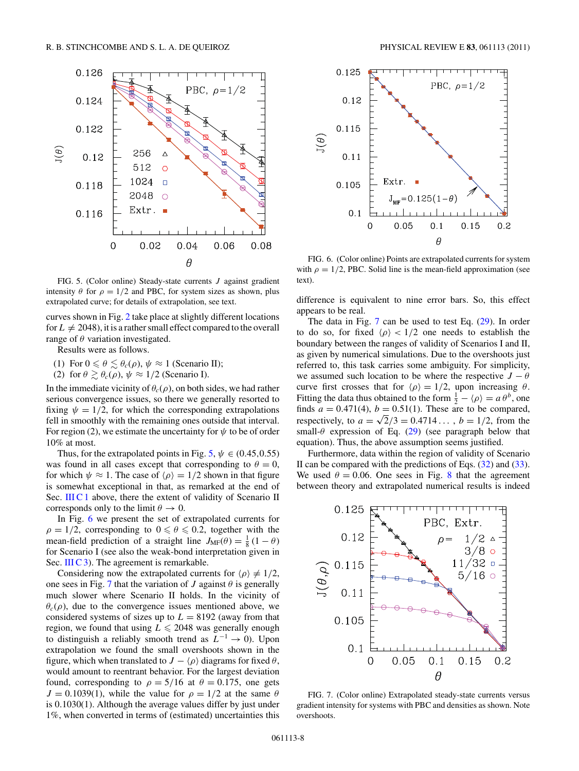<span id="page-7-0"></span>

FIG. 5. (Color online) Steady-state currents *J* against gradient intensity  $\theta$  for  $\rho = 1/2$  and PBC, for system sizes as shown, plus extrapolated curve; for details of extrapolation, see text.

curves shown in Fig. [2](#page-2-0) take place at slightly different locations for  $L \neq 2048$ , it is a rather small effect compared to the overall range of *θ* variation investigated.

Results were as follows.

- (1) For  $0 \le \theta \le \theta_c(\rho)$ ,  $\psi \approx 1$  (Scenario II);
- (2) for  $\theta \geq \theta_c(\rho)$ ,  $\psi \approx 1/2$  (Scenario I).

In the immediate vicinity of  $\theta_c(\rho)$ , on both sides, we had rather serious convergence issues, so there we generally resorted to fixing  $\psi = 1/2$ , for which the corresponding extrapolations fell in smoothly with the remaining ones outside that interval. For region (2), we estimate the uncertainty for  $\psi$  to be of order 10% at most.

Thus, for the extrapolated points in Fig. 5,  $\psi \in (0.45, 0.55)$ was found in all cases except that corresponding to  $\theta = 0$ , for which  $\psi \approx 1$ . The case of  $\langle \rho \rangle = 1/2$  shown in that figure is somewhat exceptional in that, as remarked at the end of Sec. [III C 1](#page-4-0) above, there the extent of validity of Scenario II corresponds only to the limit  $\theta \to 0$ .

In Fig. 6 we present the set of extrapolated currents for  $\rho = 1/2$ , corresponding to  $0 \le \theta \le 0.2$ , together with the mean-field prediction of a straight line  $J_{MF}(\theta) = \frac{1}{8} (1 - \theta)$ for Scenario I (see also the weak-bond interpretation given in Sec. [III C 3\)](#page-6-0). The agreement is remarkable.

Considering now the extrapolated currents for  $\langle \rho \rangle \neq 1/2$ , one sees in Fig. 7 that the variation of *J* against  $\theta$  is generally much slower where Scenario II holds. In the vicinity of  $\theta_c(\rho)$ , due to the convergence issues mentioned above, we considered systems of sizes up to  $L = 8192$  (away from that region, we found that using  $L \le 2048$  was generally enough to distinguish a reliably smooth trend as *L*<sup>−</sup><sup>1</sup> → 0). Upon extrapolation we found the small overshoots shown in the figure, which when translated to  $J - \langle \rho \rangle$  diagrams for fixed  $\theta$ , would amount to reentrant behavior. For the largest deviation found, corresponding to  $\rho = 5/16$  at  $\theta = 0.175$ , one gets  $J = 0.1039(1)$ , while the value for  $\rho = 1/2$  at the same  $\theta$ is 0*.*1030(1). Although the average values differ by just under 1%, when converted in terms of (estimated) uncertainties this



FIG. 6. (Color online) Points are extrapolated currents for system with  $\rho = 1/2$ , PBC. Solid line is the mean-field approximation (see text).

difference is equivalent to nine error bars. So, this effect appears to be real.

The data in Fig. 7 can be used to test Eq. [\(29\)](#page-5-0). In order to do so, for fixed  $\langle \rho \rangle$  < 1/2 one needs to establish the boundary between the ranges of validity of Scenarios I and II, as given by numerical simulations. Due to the overshoots just referred to, this task carries some ambiguity. For simplicity, we assumed such location to be where the respective  $J - \theta$ curve first crosses that for  $\langle \rho \rangle = 1/2$ , upon increasing  $\theta$ . Fitting the data thus obtained to the form  $\frac{1}{2} - \langle \rho \rangle = a \theta^b$ , one finds  $a = 0.471(4)$ ,  $b = 0.51(1)$ . These are to be compared, respectively, to  $a = \sqrt{2}/3 = 0.4714...$ ,  $b = 1/2$ , from the small- $\theta$  expression of Eq. [\(29\)](#page-5-0) (see paragraph below that equation). Thus, the above assumption seems justified.

Furthermore, data within the region of validity of Scenario II can be compared with the predictions of Eqs. [\(32\)](#page-5-0) and [\(33\)](#page-5-0). We used  $\theta = 0.06$ . One sees in Fig. [8](#page-8-0) that the agreement between theory and extrapolated numerical results is indeed



FIG. 7. (Color online) Extrapolated steady-state currents versus gradient intensity for systems with PBC and densities as shown. Note overshoots.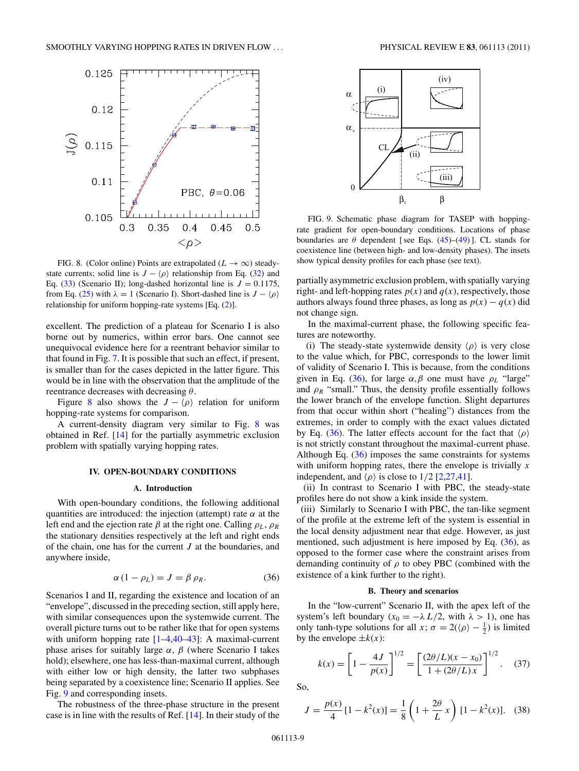<span id="page-8-0"></span>

FIG. 8. (Color online) Points are extrapolated ( $L \rightarrow \infty$ ) steadystate currents; solid line is  $J - \langle \rho \rangle$  relationship from Eq. [\(32\)](#page-5-0) and Eq.  $(33)$  (Scenario II); long-dashed horizontal line is  $J = 0.1175$ , from Eq. [\(25\)](#page-3-0) with  $\lambda = 1$  (Scenario I). Short-dashed line is  $J - \langle \rho \rangle$ relationship for uniform hopping-rate systems [Eq. [\(2\)](#page-1-0)].

excellent. The prediction of a plateau for Scenario I is also borne out by numerics, within error bars. One cannot see unequivocal evidence here for a reentrant behavior similar to that found in Fig. [7.](#page-7-0) It is possible that such an effect, if present, is smaller than for the cases depicted in the latter figure. This would be in line with the observation that the amplitude of the reentrance decreases with decreasing *θ*.

Figure 8 also shows the  $J - \langle \rho \rangle$  relation for uniform hopping-rate systems for comparison.

A current-density diagram very similar to Fig. 8 was obtained in Ref. [\[14\]](#page-11-0) for the partially asymmetric exclusion problem with spatially varying hopping rates.

### **IV. OPEN-BOUNDARY CONDITIONS**

### **A. Introduction**

With open-boundary conditions, the following additional quantities are introduced: the injection (attempt) rate  $\alpha$  at the left end and the ejection rate  $\beta$  at the right one. Calling  $\rho_L$ ,  $\rho_R$ the stationary densities respectively at the left and right ends of the chain, one has for the current *J* at the boundaries, and anywhere inside,

$$
\alpha (1 - \rho_L) = J = \beta \rho_R. \tag{36}
$$

Scenarios I and II, regarding the existence and location of an "envelope", discussed in the preceding section, still apply here, with similar consequences upon the systemwide current. The overall picture turns out to be rather like that for open systems with uniform hopping rate  $[1-4, 40-43]$ : A maximal-current phase arises for suitably large  $\alpha$ ,  $\beta$  (where Scenario I takes hold); elsewhere, one has less-than-maximal current, although with either low or high density, the latter two subphases being separated by a coexistence line; Scenario II applies. See Fig. 9 and corresponding insets.

The robustness of the three-phase structure in the present case is in line with the results of Ref. [\[14\]](#page-11-0). In their study of the



FIG. 9. Schematic phase diagram for TASEP with hoppingrate gradient for open-boundary conditions. Locations of phase boundaries are  $\theta$  dependent [see Eqs.  $(45)$ – $(49)$ ]. CL stands for coexistence line (between high- and low-density phases). The insets show typical density profiles for each phase (see text).

partially asymmetric exclusion problem, with spatially varying right- and left-hopping rates  $p(x)$  and  $q(x)$ , respectively, those authors always found three phases, as long as  $p(x) - q(x)$  did not change sign.

In the maximal-current phase, the following specific features are noteworthy.

(i) The steady-state systemwide density  $\langle \rho \rangle$  is very close to the value which, for PBC, corresponds to the lower limit of validity of Scenario I. This is because, from the conditions given in Eq. (36), for large  $\alpha$ ,  $\beta$  one must have  $\rho_L$  "large" and  $\rho_R$  "small." Thus, the density profile essentially follows the lower branch of the envelope function. Slight departures from that occur within short ("healing") distances from the extremes, in order to comply with the exact values dictated by Eq. (36). The latter effects account for the fact that  $\langle \rho \rangle$ is not strictly constant throughout the maximal-current phase. Although Eq.  $(36)$  imposes the same constraints for systems with uniform hopping rates, there the envelope is trivially *x* independent, and  $\langle \rho \rangle$  is close to 1/2 [\[2,27,41\]](#page-11-0).

(ii) In contrast to Scenario I with PBC, the steady-state profiles here do not show a kink inside the system.

(iii) Similarly to Scenario I with PBC, the tan-like segment of the profile at the extreme left of the system is essential in the local density adjustment near that edge. However, as just mentioned, such adjustment is here imposed by Eq.  $(36)$ , as opposed to the former case where the constraint arises from demanding continuity of  $\rho$  to obey PBC (combined with the existence of a kink further to the right).

### **B. Theory and scenarios**

In the "low-current" Scenario II, with the apex left of the system's left boundary ( $x_0 = -\lambda L/2$ , with  $\lambda > 1$ ), one has only tanh-type solutions for all *x*;  $\sigma = 2(\langle \rho \rangle - \frac{1}{2})$  is limited by the envelope  $\pm k(x)$ :

$$
k(x) = \left[1 - \frac{4J}{p(x)}\right]^{1/2} = \left[\frac{(2\theta/L)(x - x_0)}{1 + (2\theta/L)x}\right]^{1/2}.
$$
 (37)

So,

$$
J = \frac{p(x)}{4} [1 - k^2(x)] = \frac{1}{8} \left( 1 + \frac{2\theta}{L} x \right) [1 - k^2(x)]. \quad (38)
$$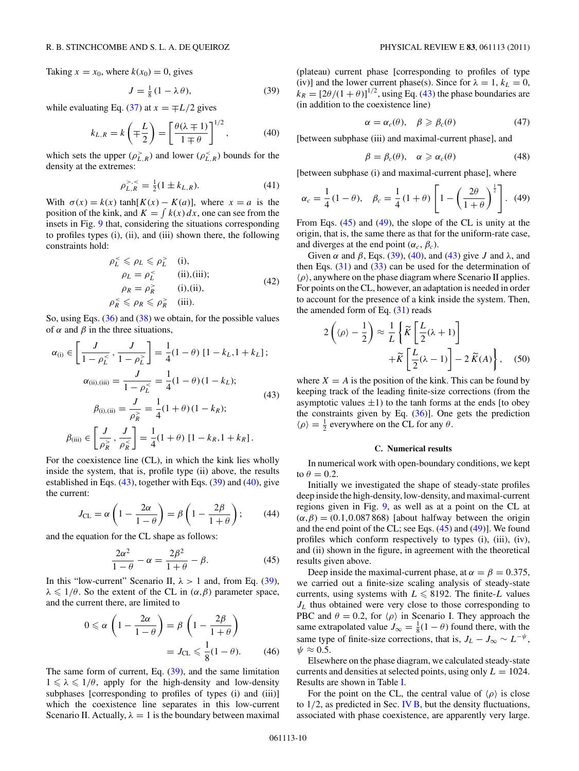<span id="page-9-0"></span>Taking  $x = x_0$ , where  $k(x_0) = 0$ , gives

$$
J = \frac{1}{8} \left( 1 - \lambda \theta \right),\tag{39}
$$

while evaluating Eq. [\(37\)](#page-8-0) at  $x = \pm L/2$  gives

$$
k_{L,R} = k\left(\mp \frac{L}{2}\right) = \left[\frac{\theta(\lambda \mp 1)}{1 \mp \theta}\right]^{1/2},\tag{40}
$$

which sets the upper  $(\rho_{L,R}^> )$  and lower  $(\rho_{L,R}^ < )$  bounds for the density at the extremes:

$$
\rho_{L,R}^{>,<} = \frac{1}{2}(1 \pm k_{L,R}).\tag{41}
$$

With  $\sigma(x) = k(x) \tanh[K(x) - K(a)]$ , where  $x = a$  is the position of the kink, and  $K = \int k(x) dx$ , one can see from the insets in Fig. [9](#page-8-0) that, considering the situations corresponding to profiles types (i), (ii), and (iii) shown there, the following constraints hold:

$$
\rho_L^{\leq} \leq \rho_L \leq \rho_L^{\geq} \quad \text{(i)},
$$
  
\n
$$
\rho_L = \rho_L^{\leq} \quad \text{(ii), (iii)};
$$
  
\n
$$
\rho_R = \rho_R^{\geq} \quad \text{(i), (ii)},
$$
  
\n
$$
\rho_R^{\leq} \leq \rho_R \leq \rho_R^{\geq} \quad \text{(iii)}.
$$
  
\n(42)

So, using Eqs.  $(36)$  and  $(38)$  we obtain, for the possible values of  $\alpha$  and  $\beta$  in the three situations,

$$
\alpha_{(i)} \in \left[\frac{J}{1 - \rho_L^{\leq}}, \frac{J}{1 - \rho_L^{\geq}}\right] = \frac{1}{4}(1 - \theta) [1 - k_L, 1 + k_L];
$$
  
\n
$$
\alpha_{(ii), (iii)} = \frac{J}{1 - \rho_L^{\leq}} = \frac{1}{4}(1 - \theta)(1 - k_L);
$$
  
\n
$$
\beta_{(i), (ii)} = \frac{J}{\rho_R^{\geq}} = \frac{1}{4}(1 + \theta)(1 - k_R);
$$
  
\n
$$
\beta_{(iii)} \in \left[\frac{J}{\rho_R^{\geq}}, \frac{J}{\rho_R^{\leq}}\right] = \frac{1}{4}(1 + \theta) [1 - k_R, 1 + k_R].
$$
\n(43)

For the coexistence line (CL), in which the kink lies wholly inside the system, that is, profile type (ii) above, the results established in Eqs. (43), together with Eqs. (39) and (40), give the current:

$$
J_{\text{CL}} = \alpha \left( 1 - \frac{2\alpha}{1 - \theta} \right) = \beta \left( 1 - \frac{2\beta}{1 + \theta} \right); \tag{44}
$$

and the equation for the CL shape as follows:

$$
\frac{2\alpha^2}{1-\theta} - \alpha = \frac{2\beta^2}{1+\theta} - \beta.
$$
 (45)

In this "low-current" Scenario II,  $\lambda > 1$  and, from Eq. (39),  $\lambda \leq 1/\theta$ . So the extent of the CL in  $(\alpha, \beta)$  parameter space, and the current there, are limited to

$$
0 \leq \alpha \left( 1 - \frac{2\alpha}{1 - \theta} \right) = \beta \left( 1 - \frac{2\beta}{1 + \theta} \right)
$$

$$
= J_{\text{CL}} \leq \frac{1}{8} (1 - \theta). \tag{46}
$$

The same form of current, Eq. (39), and the same limitation  $1 \le \lambda \le 1/\theta$ , apply for the high-density and low-density subphases [corresponding to profiles of types (i) and (iii)] which the coexistence line separates in this low-current Scenario II. Actually,  $\lambda = 1$  is the boundary between maximal

(plateau) current phase [corresponding to profiles of type (iv)] and the lower current phase(s). Since for  $\lambda = 1$ ,  $k_L = 0$ ,  $k_R = \left[\frac{2\theta}{(1+\theta)}\right]^{1/2}$ , using Eq. (43) the phase boundaries are (in addition to the coexistence line)

$$
\alpha = \alpha_c(\theta), \quad \beta \geqslant \beta_c(\theta) \tag{47}
$$

[between subphase (iii) and maximal-current phase], and

$$
\beta = \beta_c(\theta), \quad \alpha \geq \alpha_c(\theta) \tag{48}
$$

[between subphase (i) and maximal-current phase], where

$$
\alpha_c = \frac{1}{4}(1 - \theta), \quad \beta_c = \frac{1}{4}(1 + \theta) \left[1 - \left(\frac{2\theta}{1 + \theta}\right)^{\frac{1}{2}}\right].
$$
\n(49)

From Eqs. (45) and (49), the slope of the CL is unity at the origin, that is, the same there as that for the uniform-rate case, and diverges at the end point  $(\alpha_c, \beta_c)$ .

Given  $\alpha$  and  $\beta$ , Eqs. (39), (40), and (43) give *J* and  $\lambda$ , and then Eqs.  $(31)$  and  $(33)$  can be used for the determination of -*ρ*, anywhere on the phase diagram where Scenario II applies. For points on the CL, however, an adaptation is needed in order to account for the presence of a kink inside the system. Then, the amended form of Eq.  $(31)$  reads

$$
2\left(\langle \rho \rangle - \frac{1}{2}\right) \approx \frac{1}{L} \left\{ \widetilde{K} \left[ \frac{L}{2} (\lambda + 1) \right] + \widetilde{K} \left[ \frac{L}{2} (\lambda - 1) \right] - 2 \widetilde{K}(A) \right\}, \quad (50)
$$

where  $X = A$  is the position of the kink. This can be found by keeping track of the leading finite-size corrections (from the asymptotic values  $\pm 1$ ) to the tanh forms at the ends [to obey the constraints given by Eq.  $(36)$ ]. One gets the prediction  $\langle \rho \rangle = \frac{1}{2}$  everywhere on the CL for any  $\theta$ .

#### **C. Numerical results**

In numerical work with open-boundary conditions, we kept to  $\theta = 0.2$ .

Initially we investigated the shape of steady-state profiles deep inside the high-density, low-density, and maximal-current regions given in Fig. [9,](#page-8-0) as well as at a point on the CL at  $(\alpha, \beta) = (0.1, 0.087, 868)$  [about halfway between the origin and the end point of the CL; see Eqs. (45) and (49)]. We found profiles which conform respectively to types (i), (iii), (iv), and (ii) shown in the figure, in agreement with the theoretical results given above.

Deep inside the maximal-current phase, at  $\alpha = \beta = 0.375$ , we carried out a finite-size scaling analysis of steady-state currents, using systems with  $L \le 8192$ . The finite-L values *JL* thus obtained were very close to those corresponding to PBC and  $\theta = 0.2$ , for  $\langle \rho \rangle$  in Scenario I. They approach the same extrapolated value  $J_{\infty} = \frac{1}{8}(1 - \theta)$  found there, with the same type of finite-size corrections, that is,  $J_L - J_{\infty} \sim L^{-\psi}$ ,  $\psi \approx 0.5$ .

Elsewhere on the phase diagram, we calculated steady-state currents and densities at selected points, using only  $L = 1024$ . Results are shown in Table [I.](#page-10-0)

For the point on the CL, the central value of  $\langle \rho \rangle$  is close to 1*/*2, as predicted in Sec. [IV B,](#page-8-0) but the density fluctuations, associated with phase coexistence, are apparently very large.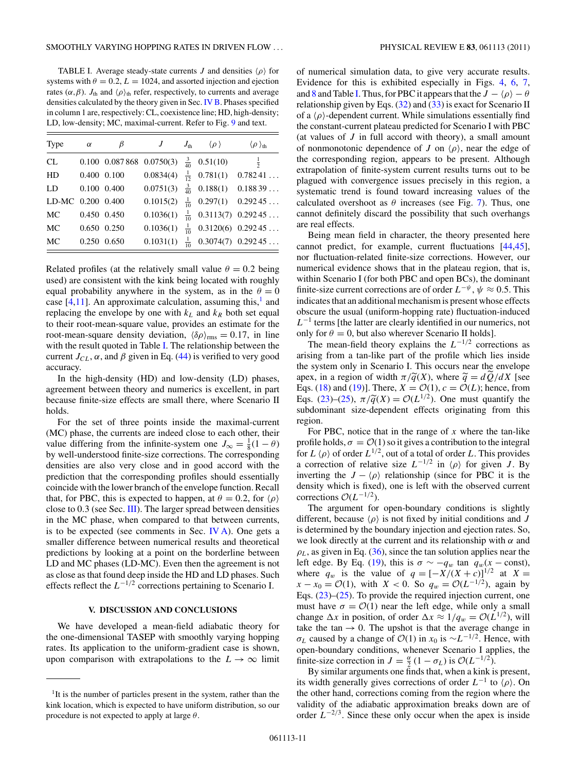<span id="page-10-0"></span>TABLE I. Average steady-state currents  $J$  and densities  $\langle \rho \rangle$  for systems with  $\theta = 0.2$ ,  $L = 1024$ , and assorted injection and ejection rates  $(\alpha, \beta)$ .  $J_{\text{th}}$  and  $\langle \rho \rangle_{\text{th}}$  refer, respectively, to currents and average densities calculated by the theory given in Sec. [IV B.](#page-8-0) Phases specified in column 1 are, respectively: CL, coexistence line; HD, high-density; LD, low-density; MC, maximal-current. Refer to Fig. [9](#page-8-0) and text.

| Type              | $\alpha$    | β           | J                              | $J_{\text{th}}$ $\langle \rho \rangle$ | $\langle \rho \rangle_{\text{th}}$ |
|-------------------|-------------|-------------|--------------------------------|----------------------------------------|------------------------------------|
| CL                |             |             | $0.100$ $0.087868$ $0.0750(3)$ | $\frac{3}{40}$ 0.51(10)                | $\frac{1}{2}$                      |
| HD                | 0.400 0.100 |             | 0.0834(4)                      |                                        | $\frac{1}{12}$ 0.781(1) 0.78241    |
| LD.               |             | 0.100 0.400 | 0.0751(3)                      |                                        | $\frac{3}{40}$ 0.188(1) 0.18839    |
| LD-MC 0.200 0.400 |             |             | 0.1015(2)                      |                                        | $\frac{1}{10}$ 0.297(1) 0.29245    |
| MC                | 0.450 0.450 |             | 0.1036(1)                      |                                        | $\frac{1}{10}$ 0.3113(7) 0.29245   |
| MC                | 0.650 0.250 |             | 0.1036(1)                      |                                        | $\frac{1}{10}$ 0.3120(6) 0.29245   |
| MC                |             | 0.250 0.650 | 0.1031(1)                      |                                        | $\frac{1}{10}$ 0.3074(7) 0.29245   |

Related profiles (at the relatively small value  $\theta = 0.2$  being used) are consistent with the kink being located with roughly equal probability anywhere in the system, as in the  $\theta = 0$ case  $[4,11]$ . An approximate calculation, assuming this,<sup>1</sup> and replacing the envelope by one with  $k<sub>L</sub>$  and  $k<sub>R</sub>$  both set equal to their root-mean-square value, provides an estimate for the root-mean-square density deviation,  $\langle \delta \rho \rangle_{\text{rms}} = 0.17$ , in line with the result quoted in Table I. The relationship between the current  $J_{CL}$ ,  $\alpha$ , and  $\beta$  given in Eq. [\(44\)](#page-9-0) is verified to very good accuracy.

In the high-density (HD) and low-density (LD) phases, agreement between theory and numerics is excellent, in part because finite-size effects are small there, where Scenario II holds.

For the set of three points inside the maximal-current (MC) phase, the currents are indeed close to each other, their value differing from the infinite-system one  $J_{\infty} = \frac{1}{8}(1 - \theta)$ by well-understood finite-size corrections. The corresponding densities are also very close and in good accord with the prediction that the corresponding profiles should essentially coincide with the lower branch of the envelope function. Recall that, for PBC, this is expected to happen, at  $\theta = 0.2$ , for  $\langle \rho \rangle$ close to 0*.*3 (see Sec. [III\)](#page-3-0). The larger spread between densities in the MC phase, when compared to that between currents, is to be expected (see comments in Sec. *). One gets a* smaller difference between numerical results and theoretical predictions by looking at a point on the borderline between LD and MC phases (LD-MC). Even then the agreement is not as close as that found deep inside the HD and LD phases. Such effects reflect the *L*<sup>−</sup>1*/*<sup>2</sup> corrections pertaining to Scenario I.

# **V. DISCUSSION AND CONCLUSIONS**

We have developed a mean-field adiabatic theory for the one-dimensional TASEP with smoothly varying hopping rates. Its application to the uniform-gradient case is shown, upon comparison with extrapolations to the  $L \rightarrow \infty$  limit

of numerical simulation data, to give very accurate results. Evidence for this is exhibited especially in Figs. [4,](#page-5-0) [6,](#page-7-0) [7,](#page-7-0) and [8](#page-8-0) and Table I. Thus, for PBC it appears that the  $J - \langle \rho \rangle - \theta$ relationship given by Eqs.  $(32)$  and  $(33)$  is exact for Scenario II of a  $\langle \rho \rangle$ -dependent current. While simulations essentially find the constant-current plateau predicted for Scenario I with PBC (at values of *J* in full accord with theory), a small amount of nonmonotonic dependence of *J* on  $\langle \rho \rangle$ , near the edge of the corresponding region, appears to be present. Although extrapolation of finite-system current results turns out to be plagued with convergence issues precisely in this region, a systematic trend is found toward increasing values of the calculated overshoot as  $\theta$  increases (see Fig. [7\)](#page-7-0). Thus, one cannot definitely discard the possibility that such overhangs are real effects.

Being mean field in character, the theory presented here cannot predict, for example, current fluctuations [\[44,45\]](#page-11-0), nor fluctuation-related finite-size corrections. However, our numerical evidence shows that in the plateau region, that is, within Scenario I (for both PBC and open BCs), the dominant finite-size current corrections are of order  $L^{-\psi}$ ,  $\psi \approx 0.5$ . This indicates that an additional mechanism is present whose effects obscure the usual (uniform-hopping rate) fluctuation-induced *L*<sup>−1</sup> terms [the latter are clearly identified in our numerics, not only for  $\theta = 0$ , but also wherever Scenario II holds].

The mean-field theory explains the *L*−1*/*<sup>2</sup> corrections as arising from a tan-like part of the profile which lies inside the system only in Scenario I. This occurs near the envelope apex, in a region of width  $\pi/\widetilde{q}(X)$ , where  $\widetilde{q} = dQ/dX$  [see Eqs. [\(18\)](#page-3-0) and [\(19\)](#page-3-0)]. There,  $X = \mathcal{O}(1)$ ,  $c = \mathcal{O}(L)$ ; hence, from Eqs. [\(23\)](#page-3-0)–[\(25\)](#page-3-0),  $\pi/\tilde{q}(X) = \mathcal{O}(L^{1/2})$ . One must quantify the subdominant size-dependent effects originating from this region.

For PBC, notice that in the range of *x* where the tan-like profile holds,  $\sigma = \mathcal{O}(1)$  so it gives a contribution to the integral for  $L \langle \rho \rangle$  of order  $L^{1/2}$ , out of a total of order *L*. This provides a correction of relative size  $L^{-1/2}$  in  $\langle \rho \rangle$  for given *J*. By inverting the  $J - \langle \rho \rangle$  relationship (since for PBC it is the density which is fixed), one is left with the observed current corrections <sup>O</sup>(*L*−1*/*2).

The argument for open-boundary conditions is slightly different, because  $\langle \rho \rangle$  is not fixed by initial conditions and *J* is determined by the boundary injection and ejection rates. So, we look directly at the current and its relationship with  $\alpha$  and  $\rho_L$ , as given in Eq. [\(36\)](#page-8-0), since the tan solution applies near the left edge. By Eq. [\(19\)](#page-3-0), this is  $\sigma \sim -q_w$  tan  $q_w(x - \text{const})$ , where  $q_w$  is the value of  $q = [-X/(X + c)]^{1/2}$  at  $X =$ *x* − *x*<sub>0</sub> =  $\mathcal{O}(1)$ , with *X* < 0. So  $q_w = \mathcal{O}(L^{-1/2})$ , again by Eqs. [\(23\)](#page-3-0)–[\(25\)](#page-3-0). To provide the required injection current, one must have  $\sigma = \mathcal{O}(1)$  near the left edge, while only a small change  $\Delta x$  in position, of order  $\Delta x \approx 1/q_w = \mathcal{O}(L^{1/2})$ , will take the tan  $\rightarrow$  0. The upshot is that the average change in *σ*<sub>*L*</sub> caused by a change of  $O(1)$  in *x*<sup>0</sup> is ∼*L*<sup>−1/2</sup>. Hence, with open-boundary conditions, whenever Scenario I applies, the finite-size correction in  $J = \frac{\alpha}{2} (1 - \sigma_L)$  is  $\mathcal{O}(L^{-1/2})$ .

By similar arguments one finds that, when a kink is present, its width generally gives corrections of order  $L^{-1}$  to  $\rho$ ). On the other hand, corrections coming from the region where the validity of the adiabatic approximation breaks down are of order  $L^{-2/3}$ . Since these only occur when the apex is inside

<sup>&</sup>lt;sup>1</sup>It is the number of particles present in the system, rather than the kink location, which is expected to have uniform distribution, so our procedure is not expected to apply at large *θ*.